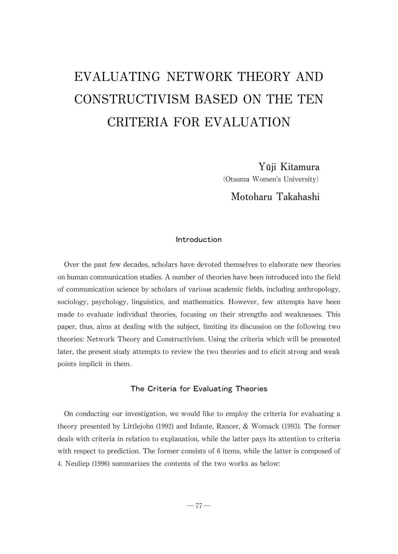# EVALUATING NETWORK THEORY AND CONSTRUCTIVISM BASED ON THE TEN CRITERIA FOR EVALUATION

Yūji Kitamura

(Otsuma Women's University)

# Motoharu Takahashi

# Introduction

Over the past few decades, scholars have devoted themselves to elaborate new theories on human communication studies. A number of theories have been introduced into the field of communication science byscholars of various academic fields,including anthropology, sociology, psychology, linguistics, and mathematics. However, few attempts have been made to evaluate individual theories, focusing on their strengths and weaknesses. This paper, thus, aims at dealing with the subject, limiting its discussion on the following two theories: Network Theory and Constructivism. Using the criteria which will be presented later, the present study attempts to review the two theories and to elicit strong and weak points implicit in them.

# The Criteria for Evaluating Theories

On conducting our investigation, we would like to employ the criteria for evaluating a theory presented by Littlejohn (1992) and Infante, Rancer,  $&$  Womack (1993). The former deals with criteria in relation to explanation, while the latter pays its attention to criteria with respect to prediction. The former consists of 6 items, while the latter is composed of 4. Neuliep (1996) summarizes the contents of the two works as below: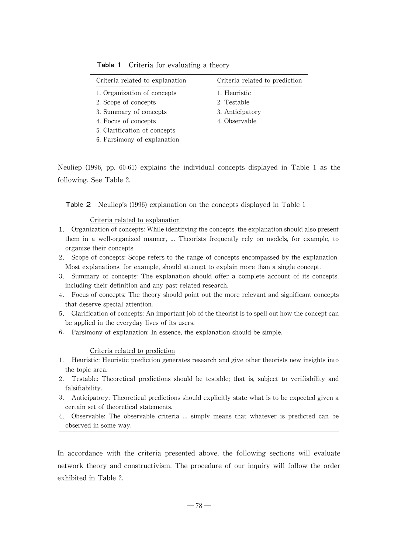| Criteria related to explanation | Criteria related to prediction |
|---------------------------------|--------------------------------|
| 1. Organization of concepts     | 1. Heuristic                   |
| 2. Scope of concepts            | 2. Testable                    |
| 3. Summary of concepts          | 3. Anticipatory                |
| 4. Focus of concepts            | 4. Observable                  |
| 5. Clarification of concepts    |                                |
| 6. Parsimony of explanation     |                                |

#### Table 1 Criteria for evaluating a theory

Neuliep (1996, pp. 60-61) explains the individual concepts displayed in Table 1 as the following. See Table 2.

**Table 2** Neuliep's (1996) explanation on the concepts displayed in Table 1

### Criteria related to explanation

- 1. Organization of concepts: While identifying the concepts, the explanation should also present them in a well-organized manner, ... Theorists frequently rely on models, for example, to organize their concepts.
- 2. Scope of concepts: Scope refers to the range of concepts encompassed by the explanation. Most explanations, for example, should attempt to explain more than a single concept.
- 3. Summary of concepts: The explanation should offer a complete account of its concepts, including their definition and any past related research.
- 4. Focus of concepts:The theory should point out the more relevant and significant concepts that deserve special attention.
- 5. Clarification of concepts: An important job of the theorist is to spell out how the concept can be applied in the everyday lives of its users.
- 6. Parsimony of explanation:In essence, the explanation should be simple.

#### Criteria related to prediction

- 1. Heuristic: Heuristic prediction generates research and give other theorists new insights into the topic area.
- 2. Testable: Theoretical predictions should be testable; that is, subject to verifiability and falsifiability.
- 3. Anticipatory:Theoretical predictions should explicitly state what is to be expected given a certain set of theoretical statements.
- 4. Observable: The observable criteria ... simply means that whatever is predicted can be observed in some way.

In accordance with the criteria presented above, the following sections will evaluate network theory and constructivism. The procedure of our inquiry will follow the order exhibited in Table 2.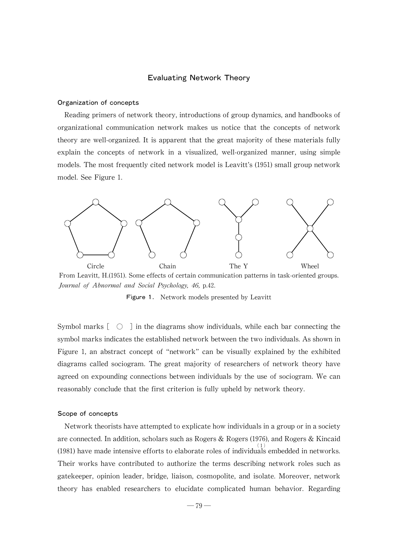#### Evaluating Network Theory

#### Organization of concepts

Reading primers of network theory, introductions of group dynamics, and handbooks of organizational communication network makes us notice that the concepts of network theory are well-organized. It is apparent that the great majority of these materials fully explain the concepts of network in a visualized, well-organized manner, using simple models. The most frequently cited network model is Leavitt's (1951) small group network model. See Figure 1.



From Leavitt, H.(1951). Some effects of certain communication patterns in task-oriented groups. Journal of Abnormal and Social Psychology, 46, p.42.

Figure 1. Network models presented by Leavitt

Symbol marks[ ○ ]in the diagrams show individuals,while each bar connecting the symbol marks indicates the established network between the two individuals. As shown in Figure 1, an abstract concept of "network" can be visually explained by the exhibited diagrams called sociogram. The great majority of researchers of network theory have agreed on expounding connections between individuals by the use of sociogram. We can reasonably conclude that the first criterion is fully upheld by network theory.

#### Scope of concepts

Network theorists have attempted to explicate how individuals in a group or in a society are connected. In addition, scholars such as Rogers & Rogers (1976), and Rogers & Kincaid (1981) have made intensive efforts to elaborate roles of individuals embedded in networks. Their works have contributed to authorize the terms describing network roles such as gatekeeper, opinion leader, bridge, liaison, cosmopolite, and isolate. Moreover, network theory has enabled researchers to elucidate complicated human behavior. Regarding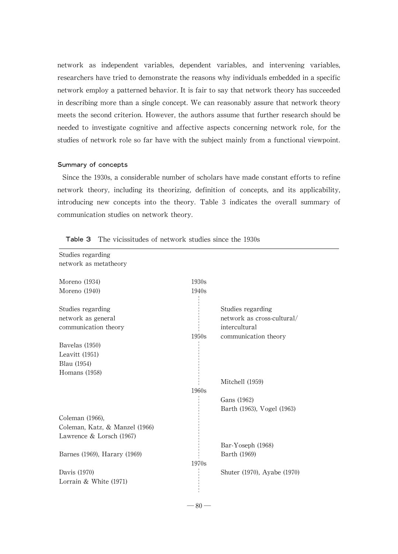network as independent variables, dependent variables, and intervening variables, researchers have tried to demonstrate the reasons why individuals embedded in a specific network employ a patterned behavior. It is fair to say that network theory has succeeded in describing more than a single concept.We can reasonably assure that network theory meets the second criterion.However, the authors assume that further research should be needed to investigate cognitive and affective aspects concerning network role, for the studies of network role so far have with the subject mainly from a functional viewpoint.

#### Summary of concepts

Since the 1930s, a considerable number of scholars have made constant efforts to refine network theory, including its theorizing, definition of concepts, and its applicability, introducing new concepts into the theory. Table 3 indicates the overall summary of communication studies on network theory.

| Studies regarding              |       |                             |
|--------------------------------|-------|-----------------------------|
| network as metatheory          |       |                             |
| Moreno $(1934)$                | 1930s |                             |
| Moreno (1940)                  | 1940s |                             |
|                                |       |                             |
| Studies regarding              |       | Studies regarding           |
| network as general             |       | network as cross-cultural/  |
| communication theory           |       | intercultural               |
|                                | 1950s | communication theory        |
| Bavelas (1950)                 |       |                             |
| Leavitt $(1951)$               |       |                             |
| Blau (1954)                    |       |                             |
| Homans $(1958)$                |       |                             |
|                                |       | Mitchell (1959)             |
|                                | 1960s |                             |
|                                |       | Gans (1962)                 |
|                                |       | Barth (1963), Vogel (1963)  |
| Coleman (1966),                |       |                             |
| Coleman, Katz, & Manzel (1966) |       |                             |
| Lawrence $&$ Lorsch (1967)     |       |                             |
|                                |       | Bar-Yoseph (1968)           |
| Barnes (1969), Harary (1969)   |       | Barth (1969)                |
|                                | 1970s |                             |
| Davis (1970)                   |       | Shuter (1970), Ayabe (1970) |
| Lorrain $&$ White (1971)       |       |                             |
|                                |       |                             |
|                                |       |                             |

Table 3 The vicissitudes of network studies since the 1930s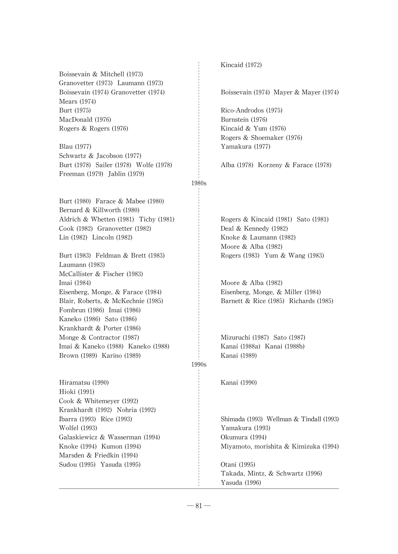Boissevain & Mitchell (1973) Granovetter (1973) Laumann (1973) Mears (1974) Burt (1975) Rico-Androdos (1975) MacDonald (1976) Burnstein (1976) Rogers & Rogers (1976) Kincaid & Yum (1976)

Blau (1977) Yamakura (1977) Schwartz & Jacobson (1977) Burt (1978) Sailer (1978) Wolfe (1978) Alba (1978) Korzeny& Farace (1978) Freeman (1979) Jablin (1979)

Burt (1980) Farace & Mabee (1980) Bernard & Killworth (1980) Aldrich & Whetten (1981) Tichy (1981) Rogers & Kincaid (1981) Sato (1981) Cook (1982) Granovetter (1982) Deal & Kennedy (1982) Lin (1982) Lincoln (1982) Knoke & Laumann (1982)

Burt (1983) Feldman & Brett (1983) Rogers (1983) Yum & Wang (1983) Laumann (1983) McCallister & Fischer (1983) Imai (1984) Moore & Alba (1982) Eisenberg,Monge,& Farace (1984) Eisenberg,Monge,& Miller (1984) Fombrun (1986) Imai (1986) Kaneko (1986) Sato (1986) Krankhardt & Porter (1986) Monge & Contractor (1987) Mizuruchi (1987) Sato (1987) Imai & Kaneko (1988) Kaneko (1988) Kanai (1988a) Kanai (1988b) Brown (1989) Karino (1989) Kanai (1989)

Hiramatsu (1990) Kanai (1990) Hioki (1991) Cook & Whitemeyer (1992) Krankhardt (1992) Nohria (1992) Wolfel (1993) Yamakura (1993) Galaskiewicz & Wasserman (1994) Okumura (1994) Marsden & Friedkin (1994) Sudou (1995) Yasuda (1995) Otani (1995)

Kincaid (1972)

Boissevain (1974) Granovetter (1974) Soissevain (1974) Mayer & Mayer (1974)

Rogers & Shoemaker (1976)

#### 1980s

Moore & Alba (1982)

Blair,Roberts,& McKechnie (1985) Barnett & Rice (1985) Richards (1985)

# 1990s

Ibarra (1993) Rice (1993) Shimada (1993) Wellman & Tindall(1993) Knoke (1994) Kumon (1994) Miyamoto,morishita & Kimizuka (1994)

> Takada, Mintz, & Schwartz (1996) Yasuda (1996)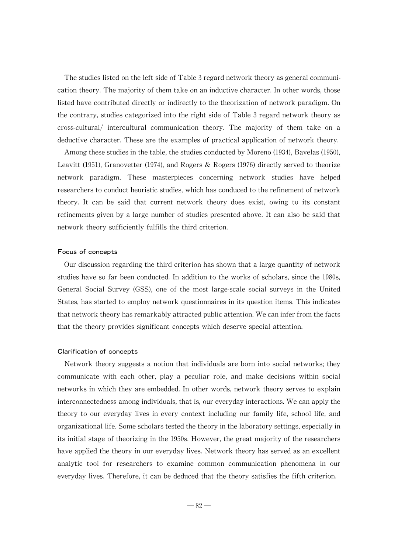The studies listed on the left side of Table 3 regard network theory as general communication theory. The majority of them take on an inductive character. In other words, those listed have contributed directly or indirectly to the theorization of network paradigm. On the contrary, studies categorized into the right side of Table 3 regard network theory as cross-cultural/ intercultural communication theory. The majority of them take on a deductive character. These are the examples of practical application of network theory.

Among these studies in the table, the studies conducted by Moreno (1934), Bavelas (1950), Leavitt (1951), Granovetter (1974), and Rogers  $\&$  Rogers (1976) directly served to theorize network paradigm. These masterpieces concerning network studies have helped researchers to conduct heuristic studies, which has conduced to the refinement of network theory. It can be said that current network theory does exist, owing to its constant refinements given by a large number of studies presented above. It can also be said that network theory sufficiently fulfills the third criterion.

#### Focus of concepts

Our discussion regarding the third criterion has shown that a large quantity of network studies have so far been conducted. In addition to the works of scholars, since the 1980s, General Social Survey (GSS), one of the most large-scale social surveys in the United States, has started to employ network questionnaires in its question items. This indicates that network theory has remarkably attracted public attention. We can infer from the facts that the theory provides significant concepts which deserve special attention.

#### Clarification of concepts

Network theory suggests a notion that individuals are born into social networks; they communicate with each other, play a peculiar role, and make decisions within social networks in which they are embedded. In other words, network theory serves to explain interconnectedness among individuals, that is, our everyday interactions. We can apply the theory to our everyday lives in every context including our family life, school life, and organizational life. Some scholars tested the theory in the laboratory settings, especially in its initial stage of theorizing in the 1950s. However, the great majority of the researchers have applied the theory in our everyday lives. Network theory has served as an excellent analytic tool for researchers to examine common communication phenomena in our everyday lives. Therefore, it can be deduced that the theory satisfies the fifth criterion.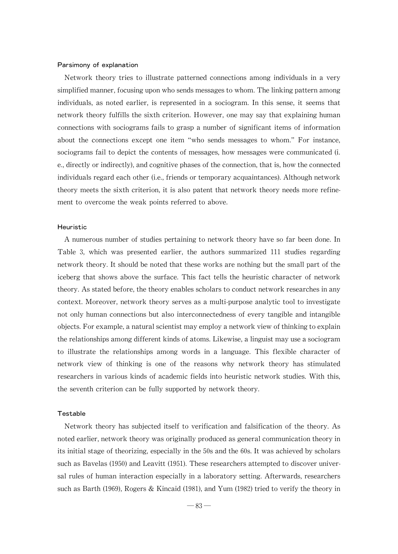#### Parsimony of explanation

Network theory tries to illustrate patterned connections among individuals in a very simplified manner, focusing upon who sends messages to whom. The linking pattern among individuals, as noted earlier, is represented in a sociogram. In this sense, it seems that network theory fulfills the sixth criterion. However, one may say that explaining human connections with sociograms fails to grasp a number of significant items of information about the connections except one item "who sends messages to whom." For instance, sociograms fail to depict the contents of messages, how messages were communicated (i. e., directly or indirectly), and cognitive phases of the connection, that is, how the connected individuals regard each other (i.e., friends or temporary acquaintances). Although network theorymeets the sixth criterion, it is also patent that network theory needs more refinement to overcome the weak points referred to above.

#### Heuristic

A numerous number of studies pertaining to network theory have so far been done. In Table 3, which was presented earlier, the authors summarized 111 studies regarding network theory. It should be noted that these works are nothing but the small part of the iceberg that shows above the surface. This fact tells the heuristic character of network theory. As stated before, the theory enables scholars to conduct network researches in any context. Moreover, network theory serves as a multi-purpose analytic tool to investigate not only human connections but also interconnectedness of every tangible and intangible objects. For example, a natural scientist may employ a network view of thinking to explain the relationships among different kinds of atoms. Likewise, a linguist may use a sociogram to illustrate the relationships among words in a language. This flexible character of network view of thinking is one of the reasons why network theory has stimulated researchers in various kinds of academic fields into heuristic network studies.With this, the seventh criterion can be fully supported by network theory.

#### Testable

Network theory has subjected itself to verification and falsification of the theory. As noted earlier, network theory was originally produced as general communication theory in its initial stage of theorizing, especially in the 50s and the 60s. It was achieved by scholars such as Bavelas (1950) and Leavitt (1951). These researchers attempted to discover universal rules of human interaction especially in a laboratory setting. Afterwards, researchers such as Barth (1969), Rogers & Kincaid (1981), and Yum (1982) tried to verify the theory in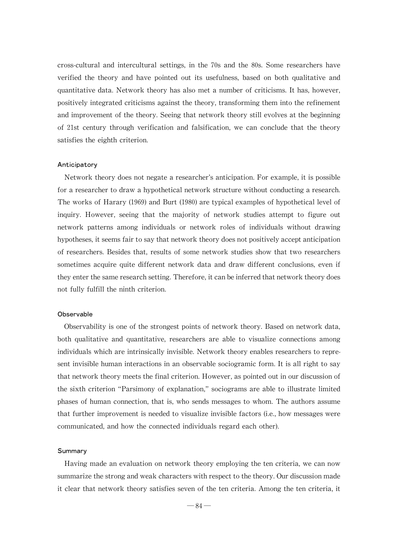cross-cultural and intercultural settings, in the 70s and the 80s. Some researchers have verified the theory and have pointed out its usefulness, based on both qualitative and quantitative data. Network theory has also met a number of criticisms. It has, however, positively integrated criticisms against the theory, transforming them into the refinement and improvement of the theory. Seeing that network theory still evolves at the beginning of 21st century through verification and falsification, we can conclude that the theory satisfies the eighth criterion.

#### Anticipatory

Network theory does not negate a researcher's anticipation. For example, it is possible for a researcher to draw a hypothetical network structure without conducting a research. The works of Harary (1969) and Burt (1980) are typical examples of hypothetical level of inquiry. However, seeing that the majority of network studies attempt to figure out network patterns among individuals or network roles of individuals without drawing hypotheses, it seems fair to say that network theory does not positively accept anticipation of researchers. Besides that, results of some network studies show that two researchers sometimes acquire quite different network data and draw different conclusions, even if they enter the same research setting. Therefore, it can be inferred that network theory does not fully fulfill the ninth criterion.

#### **Observable**

Observability is one of the strongest points of network theory. Based on network data, both qualitative and quantitative, researchers are able to visualize connections among individuals which are intrinsically invisible. Network theory enables researchers to represent invisible human interactions in an observable sociogramic form.It is all right to say that network theory meets the final criterion. However, as pointed out in our discussion of the sixth criterion "Parsimony of explanation,"sociograms are able to illustrate limited phases of human connection, that is,who sends messages to whom. The authors assume that further improvement is needed to visualize invisible factors (i.e., how messages were communicated, and how the connected individuals regard each other).

#### Summary

Having made an evaluation on network theory employing the ten criteria, we can now summarize the strong and weak characters with respect to the theory. Our discussion made it clear that network theory satisfies seven of the ten criteria. Among the ten criteria, it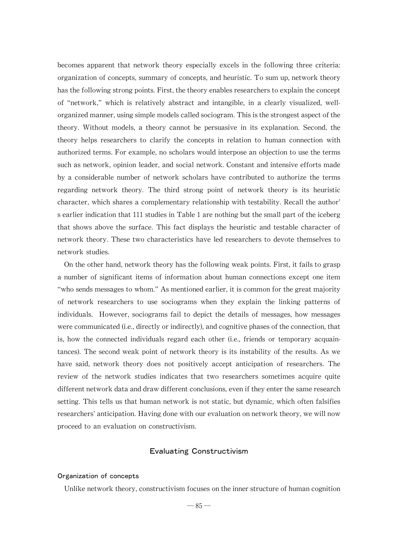becomes apparent that network theory especially excels in the following three criteria: organization of concepts, summary of concepts, and heuristic. To sum up, network theory has the following strong points. First, the theory enables researchers to explain the concept of "network,"which is relatively abstract and intangible, in a clearly visualized, wellorganized manner, using simple models called sociogram. This is the strongest aspect of the theory. Without models, a theory cannot be persuasive in its explanation. Second, the theory helps researchers to clarify the concepts in relation to human connection with authorized terms. For example, no scholars would interpose an objection to use the terms such as network, opinion leader, and social network. Constant and intensive efforts made by a considerable number of network scholars have contributed to authorize the terms regarding network theory. The third strong point of network theory is its heuristic character, which shares a complementary relationship with testability. Recall the author' s earlier indication that 111 studies in Table 1 are nothing but the small part of the iceberg that shows above the surface. This fact displays the heuristic and testable character of network theory. These two characteristics have led researchers to devote themselves to network studies.

On the other hand, network theory has the following weak points. First, it fails to grasp a number of significant items of information about human connections except one item "who sends messages to whom." As mentioned earlier, it is common for the great majority of network researchers to use sociograms when they explain the linking patterns of individuals. However, sociograms fail to depict the details of messages, how messages were communicated (i.e., directly or indirectly), and cognitive phases of the connection, that is, how the connected individuals regard each other (i.e., friends or temporary acquaintances). The second weak point of network theory is its instability of the results. As we have said, network theory does not positively accept anticipation of researchers. The review of the network studies indicates that two researchers sometimes acquire quite different network data and draw different conclusions, even if they enter the same research setting. This tells us that human network is not static, but dynamic, which often falsifies researchers' anticipation. Having done with our evaluation on network theory, we will now proceed to an evaluation on constructivism.

# Evaluating Constructivism

#### Organization of concepts

Unlike network theory, constructivism focuses on the inner structure of human cognition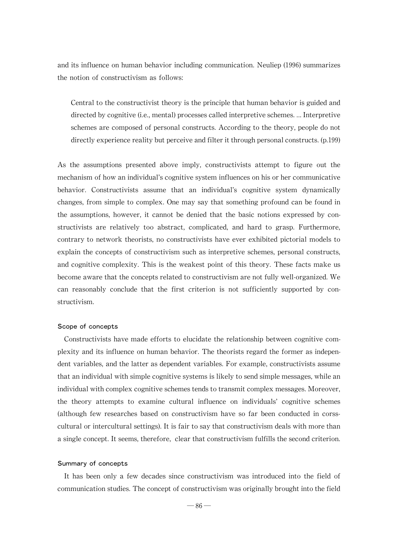and its influence on human behavior including communication. Neuliep (1996) summarizes the notion of constructivism as follows:

Central to the constructivist theory is the principle that human behavior is guided and directed by cognitive (i.e., mental) processes called interpretive schemes. ... Interpretive schemes are composed of personal constructs. According to the theory, people do not directly experience reality but perceive and filter it through personal constructs. (p.199)

As the assumptions presented above imply, constructivists attempt to figure out the mechanism of how an individual's cognitive system influences on his or her communicative behavior. Constructivists assume that an individual's cognitive system dynamically changes, from simple to complex. One may say that something profound can be found in the assumptions, however, it cannot be denied that the basic notions expressed by constructivists are relatively too abstract, complicated, and hard to grasp. Furthermore, contrary to network theorists, no constructivists have ever exhibited pictorial models to explain the concepts of constructivism such as interpretive schemes, personal constructs, and cognitive complexity. This is the weakest point of this theory. These facts make us become aware that the concepts related to constructivism are not fully well-organized. We can reasonably conclude that the first criterion is not sufficiently supported by constructivism.

#### Scope of concepts

Constructivists have made efforts to elucidate the relationship between cognitive complexity and its influence on human behavior.The theorists regard the former as independent variables, and the latter as dependent variables. For example, constructivists assume that an individual with simple cognitive systems is likely to send simple messages, while an individual with complex cognitive schemes tends to transmit complex messages. Moreover, the theory attempts to examine cultural influence on individuals'cognitive schemes (although few researches based on constructivism have so far been conducted in corsscultural or intercultural settings). It is fair to say that constructivism deals with more than a single concept. It seems, therefore, clear that constructivism fulfills the second criterion.

#### Summary of concepts

It has been only a few decades since constructivism was introduced into the field of communication studies. The concept of constructivism was originally brought into the field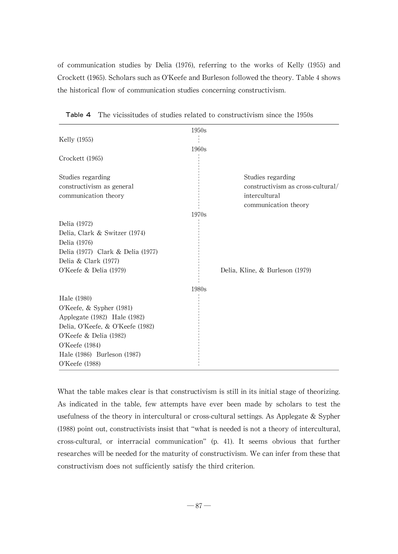of communication studies by Delia (1976), referring to the works of Kelly (1955) and Crockett (1965). Scholars such as O'Keefe and Burleson followed the theory. Table 4 shows the historical flow of communication studies concerning constructivism.

|                                   | 1950s |                                       |
|-----------------------------------|-------|---------------------------------------|
| Kelly (1955)                      |       |                                       |
|                                   | 1960s |                                       |
| Crockett (1965)                   |       |                                       |
| Studies regarding                 |       | Studies regarding                     |
| constructivism as general         |       | constructivism as cross-cultural/     |
| communication theory              |       | intercultural<br>communication theory |
|                                   | 1970s |                                       |
| Delia (1972)                      |       |                                       |
| Delia, Clark & Switzer (1974)     |       |                                       |
| Delia (1976)                      |       |                                       |
| Delia (1977) Clark & Delia (1977) |       |                                       |
| Delia & Clark (1977)              |       |                                       |
| O'Keefe & Delia (1979)            |       | Delia, Kline, & Burleson (1979)       |
|                                   | 1980s |                                       |
| Hale (1980)                       |       |                                       |
| O'Keefe, $&$ Sypher (1981)        |       |                                       |
| Applegate (1982) Hale (1982)      |       |                                       |
| Delia, O'Keefe, & O'Keefe (1982)  |       |                                       |
| O'Keefe & Delia $(1982)$          |       |                                       |
| O'Keefe (1984)                    |       |                                       |
| Hale (1986) Burleson (1987)       |       |                                       |
| O'Keefe (1988)                    |       |                                       |

Table 4 The vicissitudes of studies related to constructivism since the 1950s

What the table makes clear is that constructivism is still in its initial stage of theorizing. As indicated in the table, few attempts have ever been made by scholars to test the usefulness of the theory in intercultural or cross-cultural settings. As Applegate & Sypher (1988) point out, constructivists insist that "what is needed is not a theory of intercultural, cross-cultural, or interracial communication" (p. 41). It seems obvious that further researches will be needed for the maturity of constructivism. We can infer from these that constructivism does not sufficiently satisfy the third criterion.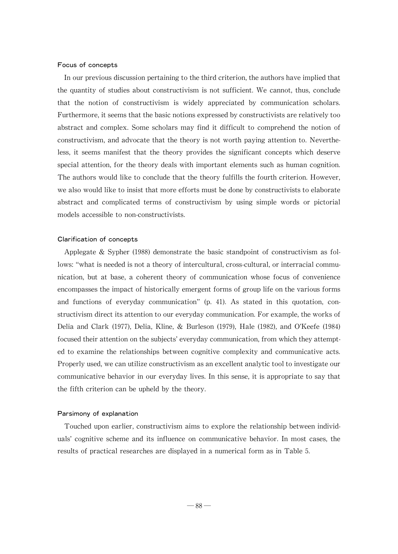#### Focus of concepts

In our previous discussion pertaining to the third criterion, the authors have implied that the quantity of studies about constructivism is not sufficient. We cannot, thus, conclude that the notion of constructivism is widely appreciated by communication scholars. Furthermore, it seems that the basic notions expressed by constructivists are relatively too abstract and complex. Some scholars may find it difficult to comprehend the notion of constructivism,and advocate that the theory is not worth paying attention to. Nevertheless, it seems manifest that the theory provides the significant concepts which deserve special attention, for the theory deals with important elements such as human cognition. The authors would like to conclude that the theory fulfills the fourth criterion. However, we also would like to insist that more efforts must be done by constructivists to elaborate abstract and complicated terms of constructivism by using simple words or pictorial models accessible to non-constructivists.

#### Clarification of concepts

Applegate & Sypher (1988) demonstrate the basic standpoint of constructivism as follows: "what is needed is not a theory of intercultural, cross-cultural, or interracial communication, but at base, a coherent theory of communication whose focus of convenience encompasses the impact of historically emergent forms of group life on the various forms and functions of everyday communication"(p. 41). As stated in this quotation, constructivism direct its attention to our everyday communication. For example, the works of Delia and Clark (1977), Delia, Kline, & Burleson (1979), Hale (1982), and O'Keefe (1984) focused their attention on the subjects' everyday communication, from which they attempted to examine the relationships between cognitive complexity and communicative acts. Properly used, we can utilize constructivism as an excellent analytic tool to investigate our communicative behavior in our everyday lives. In this sense, it is appropriate to saythat the fifth criterion can be upheld by the theory.

#### Parsimony of explanation

Touched upon earlier, constructivism aims to explore the relationship between individuals'cognitive scheme and its influence on communicative behavior. In most cases, the results of practical researches are displayed in a numerical form as in Table 5.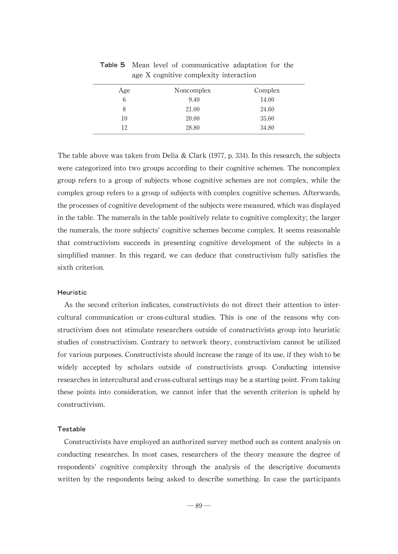| Age | Noncomplex | Complex |
|-----|------------|---------|
| 6   | 9.40       | 14.00   |
| 8   | 21.00      | 24.60   |
| 10  | 20.00      | 35.60   |
| 12  | 28.80      | 34.80   |

Table 5 Mean level of communicative adaptation for the age X cognitive complexity interaction

The table above was taken from Delia & Clark (1977, p. 334). In this research, the subjects were categorized into two groups according to their cognitive schemes. The noncomplex group refers to a group of subjects whose cognitive schemes are not complex, while the complex group refers to a group of subjects with complex cognitive schemes. Afterwards, the processes of cognitive development of the subjects were measured, which was displayed in the table. The numerals in the table positively relate to cognitive complexity; the larger the numerals, the more subjects' cognitive schemes become complex. It seems reasonable that constructivism succeeds in presenting cognitive development of the subjects in a simplified manner. In this regard, we can deduce that constructivism fully satisfies the sixth criterion.

#### Heuristic

As the second criterion indicates, constructivists do not direct their attention to intercultural communication or cross-cultural studies. This is one of the reasons why constructivism does not stimulate researchers outside of constructivists group into heuristic studies of constructivism. Contrary to network theory, constructivism cannot be utilized for various purposes. Constructivists should increase the range of its use, if they wish to be widely accepted by scholars outside of constructivists group. Conducting intensive researches in intercultural and cross-cultural settings may be a starting point. From taking these points into consideration, we cannot infer that the seventh criterion is upheld by constructivism.

#### Testable

Constructivists have employed an authorized survey method such as content analysis on conducting researches. In most cases, researchers of the theory measure the degree of respondents'cognitive complexity through the analysis of the descriptive documents written by the respondents being asked to describe something. In case the participants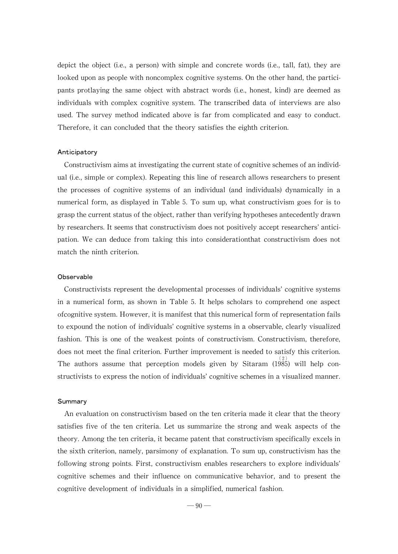depict the object (i.e., a person) with simple and concrete words (i.e., tall, fat), they are looked upon as people with noncomplex cognitive systems. On the other hand, the participants protlaying the same object with abstract words (i.e., honest, kind) are deemed as individuals with complex cognitive system. The transcribed data of interviews are also used. The survey method indicated above is far from complicated and easy to conduct. Therefore, it can concluded that the theory satisfies the eighth criterion.

#### Anticipatory

Constructivism aims at investigating the current state of cognitive schemes of an individual (i.e., simple or complex). Repeating this line of research allows researchers to present the processes of cognitive systems of an individual (and individuals) dynamically in a numerical form, as displayed in Table 5. To sum up, what constructivism goes for is to grasp the current status of the object, rather than verifying hypotheses antecedently drawn byresearchers.It seems that constructivism does not positivelyaccept researchers'anticipation. We can deduce from taking this into considerationthat constructivism does not match the ninth criterion.

#### **Observable**

Constructivists represent the developmental processes of individuals'cognitive systems in a numerical form, as shown in Table 5. It helps scholars to comprehend one aspect of cognitive system. However, it is manifest that this numerical form of representation fails to expound the notion of individuals' cognitive systems in a observable, clearly visualized fashion. This is one of the weakest points of constructivism. Constructivism, therefore, does not meet the final criterion. Further improvement is needed to satisfy this criterion. The authors assume that perception models given by Sitaram  $(1985)$  will help constructivists to express the notion of individuals' cognitive schemes in a visualized manner.

#### **Summary**

An evaluation on constructivism based on the ten criteria made it clear that the theory satisfies five of the ten criteria. Let us summarize the strong and weak aspects of the theory. Among the ten criteria, it became patent that constructivism specifically excels in the sixth criterion, namely, parsimony of explanation. To sum up, constructivism has the following strong points. First, constructivism enables researchers to explore individuals' cognitive schemes and their influence on communicative behavior, and to present the cognitive development of individuals in a simplified, numerical fashion.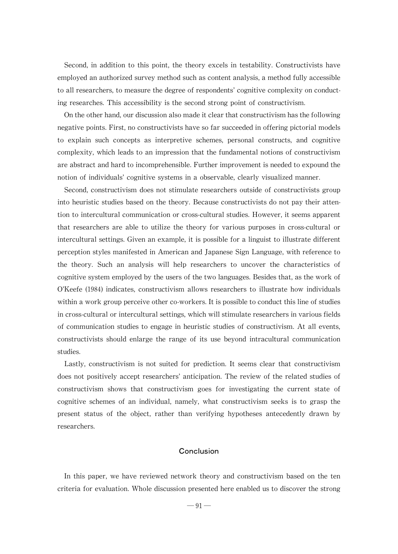Second, in addition to this point, the theory excels in testability. Constructivists have employed an authorized survey method such as content analysis, a method fully accessible to all researchers, to measure the degree of respondents' cognitive complexity on conducting researches. This accessibility is the second strong point of constructivism.

On the other hand, our discussion also made it clear that constructivism has the following negative points. First, no constructivists have so far succeeded in offering pictorial models to explain such concepts as interpretive schemes, personal constructs, and cognitive complexity,which leads to an impression that the fundamental notions of constructivism are abstract and hard to incomprehensible. Further improvement is needed to expound the notion of individuals' cognitive systems in a observable, clearly visualized manner.

Second, constructivism does not stimulate researchers outside of constructivists group into heuristic studies based on the theory. Because constructivists do not paytheir attention to intercultural communication or cross-cultural studies. However, it seems apparent that researchers are able to utilize the theory for various purposes in cross-cultural or intercultural settings. Given an example, it is possible for a linguist to illustrate different perception styles manifested in American and Japanese Sign Language,with reference to the theory. Such an analysis will help researchers to uncover the characteristics of cognitive system employed by the users of the two languages. Besides that, as the work of  $O'$ Keefe (1984) indicates, constructivism allows researchers to illustrate how individuals within a work group perceive other co-workers. It is possible to conduct this line of studies in cross-cultural or intercultural settings, which will stimulate researchers in various fields of communication studies to engage in heuristic studies of constructivism. At all events, constructivists should enlarge the range of its use beyond intracultural communication studies.

Lastly, constructivism is not suited for prediction. It seems clear that constructivism does not positively accept researchers'anticipation. The review of the related studies of constructivism shows that constructivism goes for investigating the current state of cognitive schemes of an individual, namely, what constructivism seeks is to grasp the present status of the object, rather than verifying hypotheses antecedently drawn by researchers.

# Conclusion

In this paper, we have reviewed network theory and constructivism based on the ten criteria for evaluation.Whole discussion presented here enabled us to discover the strong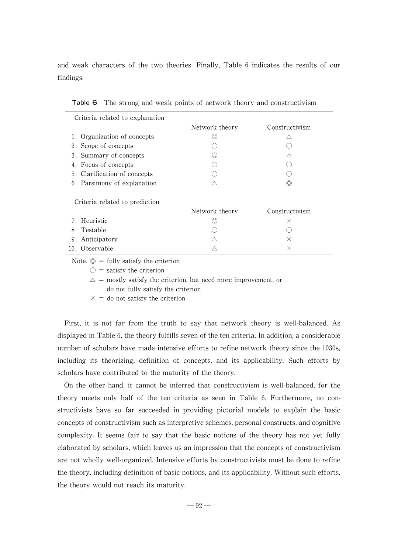and weak characters of the two theories. Finally, Table 6 indicates the results of our findings.

| Criteria related to explanation |                |                |
|---------------------------------|----------------|----------------|
|                                 | Network theory | Constructivism |
| 1. Organization of concepts     |                | ハ              |
| 2. Scope of concepts            |                |                |
| 3. Summary of concepts          | ⊙)             | ∧              |
| 4. Focus of concepts            |                |                |
| 5. Clarification of concepts    |                |                |
| 6. Parsimony of explanation     | Λ              |                |
| Criteria related to prediction  |                |                |
|                                 | Network theory | Constructivism |
| 7. Heuristic                    | 0              | $\times$       |
| 8. Testable                     |                |                |
| 9. Anticipatory                 |                | $\times$       |
| 10. Observable                  |                | $\times$       |

| Table 6 The strong and weak points of network theory and constructivism |  |
|-------------------------------------------------------------------------|--|
|-------------------------------------------------------------------------|--|

Note.  $\odot$  = fully satisfy the criterion

 $\bigcirc$  = satisfy the criterion

 $\Delta$  = mostly satisfy the criterion, but need more improvement, or

do not fully satisfy the criterion

 $\times$  = do not satisfy the criterion

First, it is not far from the truth to say that network theory is well-balanced. As displayed in Table 6, the theory fulfills seven of the ten criteria. In addition, a considerable number of scholars have made intensive efforts to refine network theorysince the 1930s, including its theorizing, definition of concepts, and its applicability. Such efforts by scholars have contributed to the maturity of the theory.

On the other hand, it cannot be inferred that constructivism is well-balanced, for the theory meets only half of the ten criteria as seen in Table 6. Furthermore, no constructivists have so far succeeded in providing pictorial models to explain the basic concepts of constructivism such as interpretive schemes, personal constructs, and cognitive complexity. It seems fair to say that the basic notions of the theory has not yet fully elaborated by scholars, which leaves us an impression that the concepts of constructivism are not whollywell-organized. Intensive efforts by constructivists must be done to refine the theory, including definition of basic notions, and its applicability. Without such efforts, the theorywould not reach its maturity.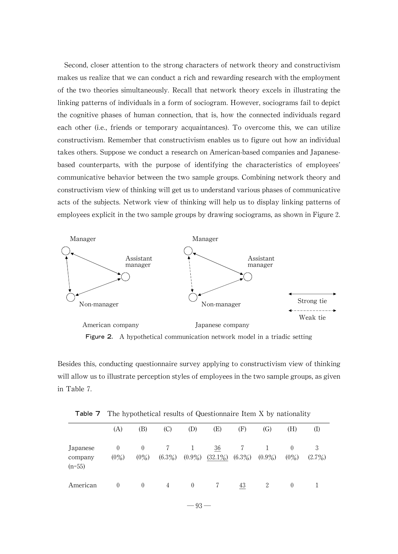Second, closer attention to the strong characters of network theory and constructivism makes us realize that we can conduct a rich and rewarding research with the employment of the two theories simultaneously. Recall that network theory excels in illustrating the linking patterns of individuals in a form of sociogram. However, sociograms fail to depict the cognitive phases of human connection, that is, how the connected individuals regard each other (i.e., friends or temporary acquaintances). To overcome this, we can utilize constructivism.Remember that constructivism enables us to figure out howan individual takes others. Suppose we conduct a research on American-based companies and Japanesebased counterparts, with the purpose of identifying the characteristics of employees' communicative behavior between the two sample groups.Combining network theoryand constructivism view of thinking will get us to understand various phases of communicative acts of the subjects. Network view of thinking will help us to display linking patterns of employees explicit in the two sample groups by drawing sociograms, as shown in Figure 2.



Figure 2. A hypothetical communication network model in a triadic setting

Besides this, conducting questionnaire survey applying to constructivism view of thinking will allow us to illustrate perception styles of employees in the two sample groups, as given in Table 7.

|                                 | . .                 |                     |                |                |                  |                 |           | -                   |                |
|---------------------------------|---------------------|---------------------|----------------|----------------|------------------|-----------------|-----------|---------------------|----------------|
|                                 | (A)                 | (B)                 | (C)            | (D)            | (E)              | (F)             | (G)       | (H)                 | (I)            |
| Japanese<br>company<br>$(n=55)$ | $\theta$<br>$(0\%)$ | $\theta$<br>$(0\%)$ | 7<br>$(6.3\%)$ | 1<br>$(0.9\%)$ | 36<br>$(32.1\%)$ | 7<br>$(6.3\%)$  | $(0.9\%)$ | $\theta$<br>$(0\%)$ | 3<br>$(2.7\%)$ |
| American                        | $\theta$            | $\theta$            | 4              | $\overline{0}$ |                  | $\overline{43}$ | 2         | $\theta$            |                |

Table 7 The hypothetical results of Questionnaire Item X by nationality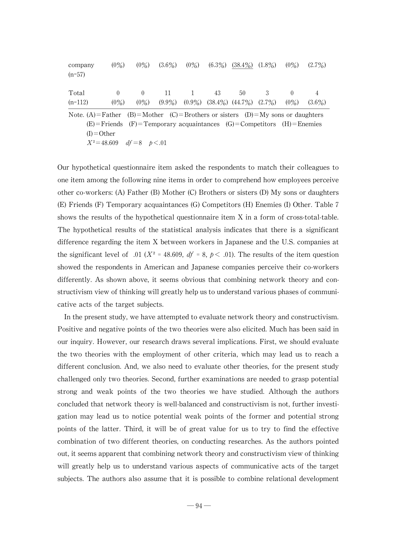| company<br>$(n=57)$                                                          | $(0\%)$                                                                    | $(0\%)$             | $(3.6\%)$ |    | $(0\%)$ $(6.3\%)$ $(38.4\%)$ $(1.8\%)$                    | $(0\%)$ | $(2.7\%)$ |
|------------------------------------------------------------------------------|----------------------------------------------------------------------------|---------------------|-----------|----|-----------------------------------------------------------|---------|-----------|
| Total<br>$(n=112)$                                                           | $\theta$<br>$(0\%)$                                                        | $\Omega$<br>$(0\%)$ | 11        | 43 | 50<br>$(9.9\%)$ $(0.9\%)$ $(38.4\%)$ $(44.7\%)$ $(2.7\%)$ | $(0\%)$ | $(3.6\%)$ |
| Note. (A)=Father (B)=Mother (C)=Brothers or sisters (D)=My sons or daughters | $(E)$ = Friends (F)= Temporary acquaintances (G)= Competitors (H)= Enemies |                     |           |    |                                                           |         |           |

 $(E)$ =Friends (F)=Temporary acquaintances (G)=Competitors (H)=Enemies  $(I) =$ Other  $X^2 = 48.609$  df = 8 p < 01

Our hypothetical questionnaire item asked the respondents to match their colleagues to one item among the following nine items in order to comprehend how employees perceive other co-workers:(A)Father (B)Mother (C)Brothers or sisters (D)Mysons or daughters (E) Friends (F) Temporary acquaintances (G) Competitors (H) Enemies (I) Other. Table 7 shows the results of the hypothetical questionnaire item X in a form of cross-total-table. The hypothetical results of the statistical analysis indicates that there is a significant difference regarding the item X between workers in Japanese and the U.S.companies at the significant level of .01 ( $X^2 = 48.609$ ,  $df = 8$ ,  $p < .01$ ). The results of the item question showed the respondents in American and Japanese companies perceive their co-workers differently. As shown above, it seems obvious that combining network theory and constructivism view of thinking will greatly help us to understand various phases of communicative acts of the target subjects.

In the present study, we have attempted to evaluate network theory and constructivism. Positive and negative points of the two theories were also elicited. Much has been said in our inquiry. However, our research draws several implications. First, we should evaluate the two theories with the employment of other criteria, which may lead us to reach a different conclusion. And, we also need to evaluate other theories, for the present study challenged only two theories. Second, further examinations are needed to grasp potential strong and weak points of the two theories we have studied. Although the authors concluded that network theory is well-balanced and constructivism is not, further investigation may lead us to notice potential weak points of the former and potential strong points of the latter. Third, it will be of great value for us to try to find the effective combination of two different theories, on conducting researches. As the authors pointed out, it seems apparent that combining network theory and constructivism view of thinking will greatly help us to understand various aspects of communicative acts of the target subjects. The authors also assume that it is possible to combine relational development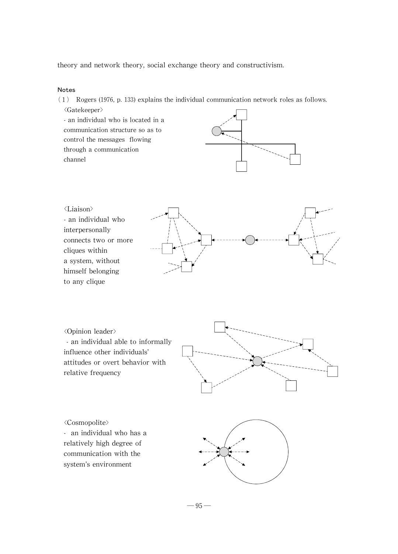theory and network theory, social exchange theory and constructivism.

#### Notes

(1) Rogers (1976, p. 133) explains the individual communication network roles as follows.

씗Gatekeeper> -an individual who is located in a communication structure so as to control the messages flowing through a communication channel





씗Opinion leader> -an individual able to informally influence other individuals' attitudes or overt behavior with relative frequency

씗Cosmopolite> - an individual who has a relatively high degree of communication with the system's environment

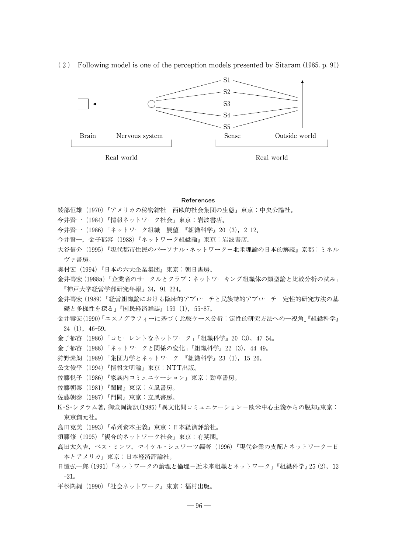(2) Following model is one of the perception models presented by Sitaram (1985. p. 91)  $S1$ .



Real world Real world Real world Real world Real world Real world Real world Real world Real world Real world Real world Real world Real world Real world Real world Real world Real world Real world Real world Real world Re

#### References

- 綾部恒雄(1970)『アメリカの秘密結社-西欧的社会集団の生態』東京:中央公論社。
- 今井賢一(1984)『情報ネットワーク社会』東京:岩波書店。
- 今井賢一 (1986)「ネットワーク組織-展望」『組織科学』20 (3), 2-12。
- 今井賢一,金子郁容(1988)『ネットワーク組織論』東京:岩波書店。

大谷信介 (1995)『現代都市住民のパーソナル・ネットワーク-北米理論の日本的解読』京都:ミネル ヴァ書房。

- 奥村宏(1994)『日本の六大企業集団』東京:朝日書房。
- 金井壽宏(1988a)「企業者のサークルとクラブ:ネットワーキング組織体の類型論と比較分析の試み」 『神戸大学経営学部研究年報』34, 91-224。
- 金井壽宏(1989)「経営組織論における臨床的アプローチと民族誌的アプローチー定性的研究方法の基 礎と多様性を探る」『国民経済雑誌』159 (1), 55-87。
- 金井壽宏(1990)「エスノグラフィーに基づく比較ケース分析:定性的研究方法への一視角」『組織科学』  $24(1), 46-59$
- 金子郁容(1986)「コヒーレントなネットワーク」『組織科学』20(3), 47-54。
- 金子郁容(1988)「ネットワークと関係の変化」『組織科学』22 (3), 44-49。
- 狩野素朗 (1989)「集団力学とネットワーク」『組織科学』23(1), 15-26。
- 公文俊平 (1994)『情報文明論』東京:NTT出版。
- 佐藤悦子(1986)『家族内コミュニケーション』東京:勁草書房。
- 佐藤朝泰 (1981)『閨閥』東京:立風書房。
- 佐藤朝泰 (1987)『門閥』東京:立風書房。
- K·S·シタラム著, 御堂岡潔訳(1985) 『異文化間コミュニケーション-欧米中心主義からの脱却』東京: 東京創元社。
- 島田克美(1993)『系列資本主義』東京:日本経済評論社。
- 須藤修(1995)『複合的ネットワーク社会』東京:有斐閣。
- 高田太久吉,ベス・ミンツ, マイケル・シュワーツ編著 (1996)『現代企業の支配とネットワーク-日 本とアメリカ』東京:日本経済評論社。
- 日置弘一郎(1991)「ネットワークの論理と倫理-近未来組織とネットワーク」『組織科学』25(2),12 -21。
- 平松闊編 (1990)『社会ネットワーク』東京:福村出版。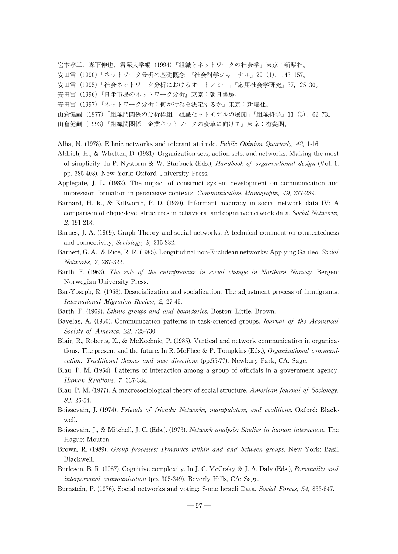宮本孝二,森下伸也,君塚大学編 (1994)『組織とネットワークの社会学』東京:新曜社。

- 安田雪 (1990)「ネットワーク分析の基礎概念」『社会科学ジャーナル』29(1), 143-157。
- 安田雪 (1995)「社会ネットワーク分析におけるオートノミー」『応用社会学研究』37,25-30。
- 安田雪(1996)『日米市場のネットワーク分析』東京:朝日書房。
- 安田雪(1997)『ネットワーク分析:何が行為を決定するか』東京:新曜社。
- 山倉健嗣 (1977)「組織間関係の分析枠組-組織セットモデルの展開」『組織科学』11 (3), 62-73。
- 山倉健嗣(1993)『組織間関係-企業ネットワークの変革に向けて』東京:有斐閣。
- Alba, N. (1978). Ethnic networks and tolerant attitude. Public Opinion Quarterly, 42, 1-16.
- Aldrich, H., & Whetten, D. (1981). Organization-sets, action-sets, and networks: Making the most of simplicity. In P. Nystorm & W. Starbuck (Eds.), Handbook of organizational design (Vol. 1, pp. 385-408). New York: Oxford University Press.
- Applegate, J. L. (1982). The impact of construct system development on communication and impression formation in persuasive contexts. Communication Monographs, 49, 277-289.
- Barnard, H. R., & Killworth, P. D. (1980). Informant accuracy in social network data IV: A comparison of clique-level structures in behavioral and cognitive network data. Social Networks, 2, 191-218.
- Barnes, J. A. (1969). Graph Theory and social networks: A technical comment on connectedness and connectivity, Sociology, 3, 215-232.
- Barnett, G. A., & Rice, R. R. (1985). Longitudinal non-Euclidean networks: Applying Galileo. Social Networks, 7, 287-322.
- Barth, F. (1963). The role of the entrepreneur in social change in Northern Norway. Bergen: Norwegian University Press.
- Bar-Yoseph, R. (1968). Desocialization and socialization: The adjustment process of immigrants. International Migration Review, 2, 27-45.
- Barth, F. (1969). Ethnic groups and and boundaries. Boston: Little, Brown.
- Bavelas, A. (1950). Communication patterns in task-oriented groups. Journal of the Acoustical Society of America, 22, 725-730.
- Blair, R., Roberts, K., & McKechnie, P. (1985). Vertical and network communication in organizations: The present and the future. In R. McPhee & P. Tompkins (Eds.), Organizational communication: Traditional themes and new directions (pp.55-77). Newbury Park, CA: Sage.
- Blau, P. M. (1954). Patterns of interaction among a group of officials in a government agency. Human Relations, 7, 337-384.
- Blau, P. M. (1977). A macrosociological theory of social structure. American Journal of Sociology, 83, 26-54.
- Boissevain, J. (1974). Friends of friends: Networks, manipulators, and coalitions. Oxford: Blackwell.
- Boissevain, J., & Mitchell, J. C. (Eds.). (1973). Network analysis: Studies in human interaction. The Hague: Mouton.
- Brown, R. (1989). Group processes: Dynamics within and and between groups. New York: Basil Blackwell.
- Burleson, B. R. (1987). Cognitive complexity. In J. C. McCrsky & J. A. Daly (Eds.), Personality and interpersonal communication (pp. 305-349). Beverly Hills, CA: Sage.
- Burnstein, P. (1976). Social networks and voting: Some Israeli Data. Social Forces, 54, 833-847.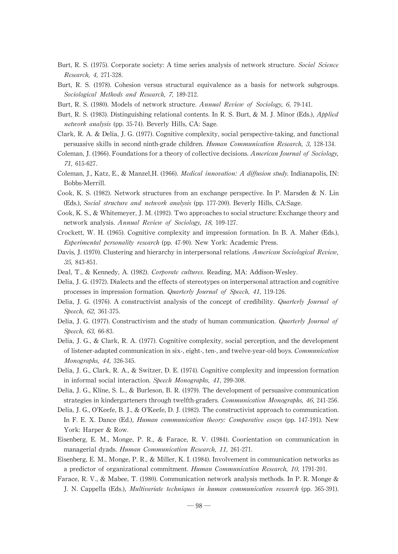- Burt, R. S. (1975). Corporate society: A time series analysis of network structure. Social Science Research, 4, 271-328.
- Burt, R. S. (1978). Cohesion versus structural equivalence as a basis for network subgroups. Sociological Methods and Research, 7, 189-212.
- Burt, R. S. (1980). Models of network structure. Annual Review of Sociology, 6, 79-141.
- Burt, R. S. (1983). Distinguishing relational contents. In R. S. Burt, & M. J. Minor (Eds.), *Applied* network analysis (pp. 35-74). Beverly Hills, CA: Sage.
- Clark, R. A. & Delia, J. G. (1977). Cognitive complexity, social perspective-taking, and functional persuasive skills in second ninth-grade children. Human Communication Research, 3, 128-134.
- Coleman, J. (1966). Foundations for a theory of collective decisions. American Journal of Sociology, 71, 615-627.
- Coleman, J., Katz, E., & Manzel,H. (1966). *Medical innovation: A diffusion study*. Indianapolis, IN: Bobbs-Merrill.
- Cook,K. S.(1982). Network structures from an exchange perspective. In P. Marsden & N. Lin (Eds.), Social structure and network analysis (pp. 177-200). Beverly Hills, CA:Sage.
- Cook,K.S.,& Whitemeyer,J.M.(1992).Twoapproachestosocialstructure:Exchangetheoryand network analysis.Annual Review of Sociology, 18, 109-127.
- Crockett, W. H. (1965). Cognitive complexity and impression formation. In B. A. Maher (Eds.), Experimental personality research (pp. 47-90). New York: Academic Press.
- Davis, J. (1970). Clustering and hierarchy in interpersonal relations. American Sociological Review, 35, 843-851.
- Deal, T., & Kennedy, A. (1982). Corporate cultures. Reading, MA: Addison-Wesley.
- Delia, J. G. (1972). Dialects and the effects of stereotypes on interpersonal attraction and cognitive processes in impression formation.Quarterly Journal of Speech, 41, 119-126.
- Delia, J. G. (1976). A constructivist analysis of the concept of credibility. Quarterly Journal of Speech, 62, 361-375.
- Delia, J. G. (1977). Constructivism and the study of human communication. Quarterly Journal of Speech, 63, 66-83.
- Delia, J. G., & Clark, R. A. (1977). Cognitive complexity, social perception, and the development of listener-adapted communication in six-, eight-, ten-, and twelve-year-old boys. Communication Monographs, 44, 326-345.
- Delia, J. G., Clark, R. A., & Switzer, D. E. (1974). Cognitive complexity and impression formation in informal social interaction. Speech Monographs, 41, 299-308.
- Delia, J. G., Kline, S. L., & Burleson, B. R. (1979). The development of persuasive communication strategies in kindergarteners through twelfth-graders. Communication Monographs, 46, 241-256.
- Delia, J. G., O'Keefe, B. J., & O'Keefe, D. J. (1982). The constructivist approach to communication. In F. E. X. Dance (Ed.), *Human communication theory: Comparative esseys* (pp. 147-191). New York: Harper & Row.
- Eisenberg, E. M., Monge, P. R., & Farace, R. V. (1984). Coorientation on communication in managerial dyads. Human Communication Research, 11, 261-271.
- Eisenberg,E.M.,Monge,P.R.,& Miller,K.I.(1984).Involvement in communication networks as a predictor of organizational commitment.Human Communication Research, 10, 1791-201.
- Farace, R. V., & Mabee, T. (1980). Communication network analysis methods. In P. R. Monge & J. N. Cappella (Eds.), Multivariate techniques in human communication research (pp. 365-391).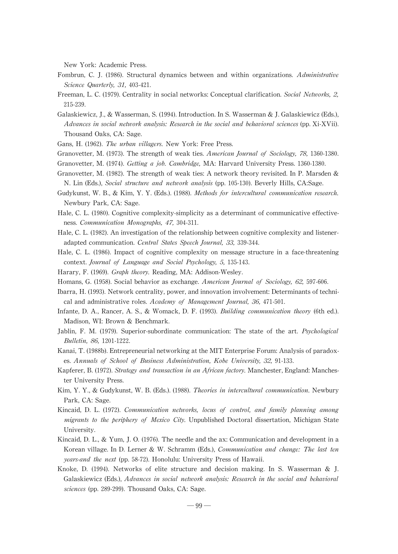New York: Academic Press.

- Fombrun, C. J. (1986). Structural dynamics between and within organizations. Administrative Science Quarterly, 31, 403-421.
- Freeman, L. C. (1979). Centrality in social networks: Conceptual clarification. Social Networks, 2, 215-239.
- Galaskiewicz,J.,& Wasserman,S.(1994).Introduction.InS.Wasserman& J.Galaskiewicz (Eds.), Advances in social network analysis: Research in the social and behavioral sciences (pp. Xi-XVii). Thousand Oaks, CA: Sage.
- Gans, H. (1962). The urban villagers. New York: Free Press.
- Granovetter, M. (1973). The strength of weak ties. American Journal of Sociology, 78, 1360-1380.
- Granovetter, M. (1974). Getting a job. Cambridge, MA: Harvard University Press. 1360-1380.
- Granovetter, M. (1982). The strength of weak ties: A network theory revisited. In P. Marsden  $\&$ N. Lin (Eds.), Social structure and network analysis (pp. 105-130). Beverly Hills, CA:Sage.
- Gudykunst,W.B.,& Kim,Y.Y.(Eds.).(1988). Methods for intercultural communication research. Newbury Park, CA: Sage.
- Hale, C. L. (1980). Cognitive complexity-simplicity as a determinant of communicative effectiveness.Communication Monographs, 47, 304-311.
- Hale, C. L. (1982). An investigation of the relationship between cognitive complexity and listeneradapted communication. Central States Speech Journal, 33, 339-344.
- Hale, C. L. (1986). Impact of cognitive complexity on message structure in a face-threatening context. Journal of Language and Social Psychology, 5, 135-143.
- Harary, F. (1969). Graph theory. Reading, MA: Addison-Wesley.
- Homans, G. (1958). Social behavior as exchange. American Journal of Sociology, 62, 597-606.
- Ibarra, H. (1993). Network centrality, power, and innovation involvement: Determinants of technical and administrative roles. Academy of Management Journal, 36, 471-501.
- Infante, D. A., Rancer, A. S., & Womack, D. F. (1993). Building communication theory (6th ed.). Madison, WI: Brown & Benchmark.
- Jablin, F. M. (1979). Superior-subordinate communication: The state of the art. Psychological Bulletin, 86, 1201-1222.
- Kanai, T. (1988b). Entrepreneurial networking at the MIT Enterprise Forum: Analysis of paradoxes.Annuals of School of Business Administration, Kobe University, 32, 91-133.
- Kapferer, B. (1972). Strategy and transaction in an African factory. Manchester, England: Manchester University Press.
- Kim, Y.Y., & Gudykunst, W.B. (Eds.). (1988). Theories in intercultural communication. Newbury Park, CA: Sage.
- Kincaid, D. L. (1972). Communication networks, locus of control, and family planning among migrants to the periphery of Mexico City. Unpublished Doctoral dissertation, Michigan State University.
- Kincaid, D. L.,  $\&$  Yum, J. O. (1976). The needle and the ax: Communication and development in a Korean village. In D. Lerner & W. Schramm (Eds.), Communication and change: The last ten years-and the next (pp. 58-72). Honolulu: University Press of Hawaii.
- Knoke, D. (1994). Networks of elite structure and decision making. In S. Wasserman & J. Galaskiewicz (Eds.), Advances in social network analysis: Research in the social and behavioral sciences (pp. 289-299). Thousand Oaks, CA: Sage.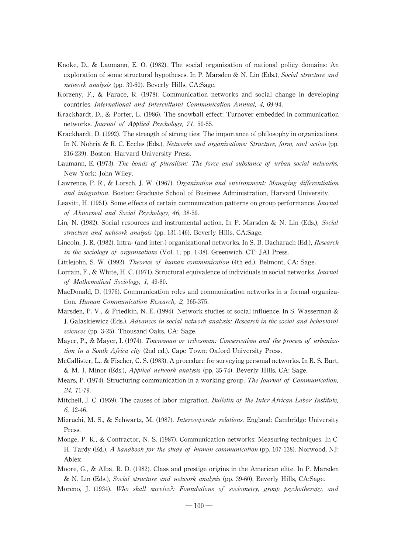- Knoke, D., & Laumann, E. O. (1982). The social organization of national policy domains: An exploration of some structural hypotheses. In P. Marsden & N. Lin (Eds.), Social structure and network analysis (pp. 39-60). Beverly Hills, CA:Sage.
- Korzeny, F., & Farace, R. (1978). Communication networks and social change in developing countries.International and Intercultural Communication Annual, 4, 69-94.
- Krackhardt, D., & Porter, L. (1986). The snowball effect: Turnover embedded in communication networks.Journal of Applied Psychology, 71, 50-55.
- Krackhardt, D. (1992). The strength of strong ties: The importance of philosophy in organizations. In N. Nohria & R. C. Eccles (Eds.), Networks and organizations: Structure, form, and action (pp. 216-239). Boston: Harvard University Press.
- Laumann, E. (1973). The bonds of pluralism: The force and substance of urban social networks. New York: John Wiley.
- Lawrence, P. R., & Lorsch, J. W. (1967). Organization and environment: Managing differentiation and integration. Boston: Graduate School of Business Administration, Harvard University.
- Leavitt, H. (1951). Some effects of certain communication patterns on group performance. *Journal* of Abnormal and Social Psychology, 46, 38-59.
- Lin, N. (1982). Social resources and instrumental action. In P. Marsden & N. Lin (Eds.), Social structure and network analysis (pp. 131-146). Beverly Hills, CA:Sage.
- Lincoln, J. R. (1982). Intra- (and inter-) organizational networks. In S. B. Bacharach (Ed.), Research in the sociology of organizations (Vol. 1, pp. 1-38). Greenwich, CT: JAI Press.
- Littlejohn, S. W. (1992). Theories of human communication (4th ed.). Belmont, CA: Sage.
- Lorrain, F., & White, H.C. (1971). Structural equivalence of individuals in social networks. *Journal* of Mathematical Sociology, 1, 49-80.
- MacDonald, D. (1976). Communication roles and communication networks in a formal organization. Human Communication Research, 2, 365-375.
- Marsden, P. V., & Friedkin, N. E. (1994). Network studies of social influence. In S. Wasserman & J. Galaskiewicz (Eds.), Advances in social network analysis: Research in the social and behavioral sciences (pp. 3-25). Thousand Oaks, CA: Sage.
- Mayer, P., & Mayer, I. (1974). Townsman or tribesman: Conservatism and the process of urbanization in a South Africa city (2nd ed.). Cape Town: Oxford University Press.
- McCallister, L., & Fischer, C. S. (1983). A procedure for surveying personal networks. In R. S. Burt, & M. J. Minor (Eds.), *Applied network analysis* (pp. 35-74). Beverly Hills, CA: Sage.
- Mears, P. (1974). Structuring communication in a working group. The Journal of Communication, 24, 71-79.
- Mitchell, J. C. (1959). The causes of labor migration. Bulletin of the Inter-African Labor Institute, 6, 12-46.
- Mizruchi, M. S., & Schwartz, M. (1987). *Intercooperate relations*. England: Cambridge University Press.
- Monge, P. R., & Contractor, N. S. (1987). Communication networks: Measuring techniques. In C. H. Tardy (Ed.), A handbook for the study of human communication (pp. 107-138). Norwood, NJ: Ablex.
- Moore, G., & Alba, R. D. (1982). Class and prestige origins in the American elite. In P. Marsden & N. Lin (Eds.), Social structure and network analysis (pp. 39-60). Beverly Hills, CA:Sage.
- Moreno, J. (1934). Who shall survive?: Foundations of sociometry, group psychotherapy, and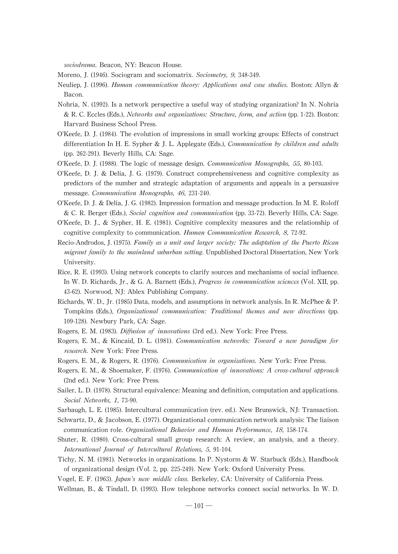sociodrama. Beacon, NY: Beacon House.

- Moreno, J. (1946). Sociogram and sociomatrix. Sociometry, 9, 348-349.
- Neuliep, J. (1996). Human communication theory: Applications and case studies. Boston: Allyn & Bacon.
- Nohria, N. (1992). Is a network perspective a useful way of studying organization? In N. Nohria & R. C. Eccles (Eds.), Networks and organizations: Structure, form, and action (pp. 1-22). Boston: Harvard Business School Press.
- $O'Keefe$ , D. J. (1984). The evolution of impressions in small working groups: Effects of construct differentiation In H. E. Sypher & J. L. Applegate (Eds.), *Communication by children and adults* (pp. 262-291). Beverly Hills, CA: Sage.
- O'Keefe, D. J. (1988). The logic of message design. Communication Monographs, 55, 80-103.
- O'Keefe, D. J. & Delia, J. G. (1979). Construct comprehensiveness and cognitive complexity as predictors of the number and strategic adaptation of arguments and appeals in a persuasive message. Communication Monographs, 46, 231-240.
- O'Keefe, D. J. & Delia, J. G. (1982). Impression formation and message production. In M. E. Roloff & C. R. Berger (Eds.), Social cognition and communication (pp. 33-72). Beverly Hills, CA: Sage.
- O'Keefe, D. J., & Sypher, H. E. (1981). Cognitive complexity measures and the relationship of cognitive complexity to communication. Human Communication Research, 8, 72-92.
- Recio-Androdos, J. (1975). Family as a unit and larger society: The adaptation of the Puerto Rican migrant family to the mainland suburban setting. Unpublished Doctoral Dissertation, New York University.
- Rice,R.E.(1993).Using network concepts to clarifysources and mechanisms ofsocial influence. In W. D. Richards, Jr., & G. A. Barnett (Eds.), *Progress in communication sciences* (Vol. XII, pp. 43-62). Norwood, NJ: Ablex Publishing Company.
- Richards, W. D., Jr. (1985) Data, models, and assumptions in network analysis. In R. McPhee & P. Tompkins (Eds.), Organizational communication: Traditional themes and new directions (pp. 109-128). Newbury Park, CA: Sage.
- Rogers, E. M. (1983). Diffusion of innovations (3rd ed.). New York: Free Press.
- Rogers, E. M., & Kincaid, D. L. (1981). Communication networks: Toward a new paradigm for research. New York: Free Press.
- Rogers, E. M., & Rogers, R. (1976). Communication in organizations. New York: Free Press.
- Rogers, E. M., & Shoemaker, F. (1976). Communication of innovations: A cross-cultural approach (2nd ed.). New York: Free Press.
- Sailer, L.D. (1978). Structural equivalence: Meaning and definition, computation and applications. Social Networks, 1, 73-90.
- Sarbaugh, L. E. (1985). Intercultural communication (rev. ed.). New Brunswick, NJ: Transaction.
- Schwartz, D., & Jacobson, E. (1977). Organizational communication network analysis: The liaison communication role. Organizational Behavior and Human Performance, 18, 158-174.
- Shuter, R. (1980). Cross-cultural small group research: A review, an analysis, and a theory. International Journal of Intercultural Relations, 5, 91-104.
- Tichy, N. M. (1981). Networks in organizations. In P. Nystorm & W. Starbuck (Eds.), Handbook of organizational design (Vol. 2, pp. 225-249). New York: Oxford University Press.

Vogel, E. F. (1963). Japan's new middle class. Berkeley, CA: University of California Press.

Wellman, B., & Tindall, D. (1993). How telephone networks connect social networks. In W. D.